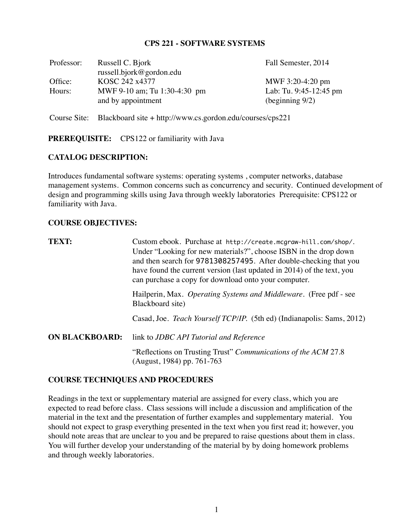#### **CPS 221 - SOFTWARE SYSTEMS**

| Professor: | Russell C. Bjork             | Fall Semester, 2014    |
|------------|------------------------------|------------------------|
|            | russell.bjork@gordon.edu     |                        |
| Office:    | KOSC 242 x4377               | MWF 3:20-4:20 pm       |
| Hours:     | MWF 9-10 am; Tu 1:30-4:30 pm | Lab: Tu. 9:45-12:45 pm |
|            | and by appointment           | (beginning $9/2$ )     |
|            |                              |                        |

Course Site: Blackboard site + http://www.cs.gordon.edu/courses/cps221

#### **PREREQUISITE:** CPS122 or familiarity with Java

#### **CATALOG DESCRIPTION:**

Introduces fundamental software systems: operating systems , computer networks, database management systems. Common concerns such as concurrency and security. Continued development of design and programming skills using Java through weekly laboratories Prerequisite: CPS122 or familiarity with Java.

#### **COURSE OBJECTIVES:**

| <b>TEXT:</b>          | Custom ebook. Purchase at http://create.mcgraw-hill.com/shop/.<br>Under "Looking for new materials?", choose ISBN in the drop down<br>and then search for 9781308257495. After double-checking that you<br>have found the current version (last updated in 2014) of the text, you<br>can purchase a copy for download onto your computer. |
|-----------------------|-------------------------------------------------------------------------------------------------------------------------------------------------------------------------------------------------------------------------------------------------------------------------------------------------------------------------------------------|
|                       | Hailperin, Max. Operating Systems and Middleware. (Free pdf - see<br>Blackboard site)                                                                                                                                                                                                                                                     |
|                       | Casad, Joe. Teach Yourself TCP/IP. (5th ed) (Indianapolis: Sams, 2012)                                                                                                                                                                                                                                                                    |
| <b>ON BLACKBOARD:</b> | link to JDBC API Tutorial and Reference                                                                                                                                                                                                                                                                                                   |
|                       | "Reflections on Trusting Trust" Communications of the ACM 27.8<br>(August, 1984) pp. 761-763                                                                                                                                                                                                                                              |

## **COURSE TECHNIQUES AND PROCEDURES**

Readings in the text or supplementary material are assigned for every class, which you are expected to read before class. Class sessions will include a discussion and amplification of the material in the text and the presentation of further examples and supplementary material. You should not expect to grasp everything presented in the text when you first read it; however, you should note areas that are unclear to you and be prepared to raise questions about them in class. You will further develop your understanding of the material by by doing homework problems and through weekly laboratories.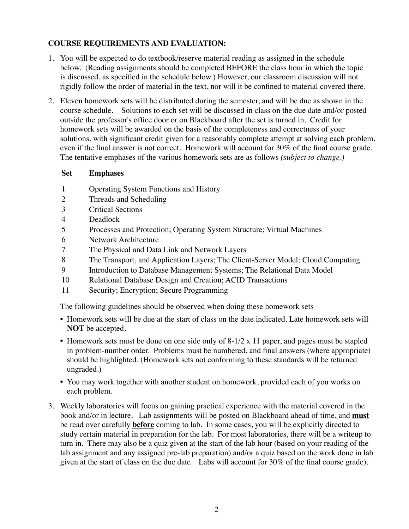# **COURSE REQUIREMENTS AND EVALUATION:**

- 1. You will be expected to do textbook/reserve material reading as assigned in the schedule below. (Reading assignments should be completed BEFORE the class hour in which the topic is discussed, as specified in the schedule below.) However, our classroom discussion will not rigidly follow the order of material in the text, nor will it be confined to material covered there.
- 2. Eleven homework sets will be distributed during the semester, and will be due as shown in the course schedule. Solutions to each set will be discussed in class on the due date and/or posted outside the professor's office door or on Blackboard after the set is turned in. Credit for homework sets will be awarded on the basis of the completeness and correctness of your solutions, with significant credit given for a reasonably complete attempt at solving each problem, even if the final answer is not correct. Homework will account for 30% of the final course grade. The tentative emphases of the various homework sets are as follows *(subject to change.)*

## **Set Emphases**

- 1 Operating System Functions and History
- 2 Threads and Scheduling
- 3 Critical Sections
- 4 Deadlock
- 5 Processes and Protection; Operating System Structure; Virtual Machines
- 6 Network Architecture
- 7 The Physical and Data Link and Network Layers
- 8 The Transport, and Application Layers; The Client-Server Model; Cloud Computing
- 9 Introduction to Database Management Systems; The Relational Data Model
- 10 Relational Database Design and Creation; ACID Transactions
- 11 Security; Encryption; Secure Programming

The following guidelines should be observed when doing these homework sets

- Homework sets will be due at the start of class on the date indicated. Late homework sets will **NOT** be accepted.
- Homework sets must be done on one side only of  $8-1/2 \times 11$  paper, and pages must be stapled in problem-number order. Problems must be numbered, and final answers (where appropriate) should be highlighted. (Homework sets not conforming to these standards will be returned ungraded.)
- You may work together with another student on homework, provided each of you works on each problem.
- 3. Weekly laboratories will focus on gaining practical experience with the material covered in the book and/or in lecture. Lab assignments will be posted on Blackboard ahead of time, and **must** be read over carefully **before** coming to lab. In some cases, you will be explicitly directed to study certain material in preparation for the lab. For most laboratories, there will be a writeup to turn in. There may also be a quiz given at the start of the lab hour (based on your reading of the lab assignment and any assigned pre-lab preparation) and/or a quiz based on the work done in lab given at the start of class on the due date. Labs will account for 30% of the final course grade).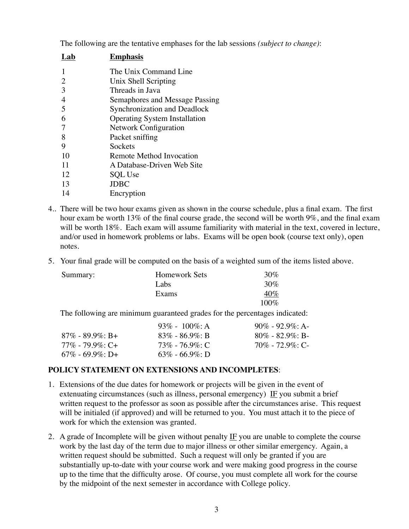The following are the tentative emphases for the lab sessions *(subject to change)*:

| Lab            | <b>Emphasis</b>                      |
|----------------|--------------------------------------|
|                | The Unix Command Line                |
| 2              | Unix Shell Scripting                 |
| 3              | Threads in Java                      |
| $\overline{4}$ | Semaphores and Message Passing       |
| 5              | Synchronization and Deadlock         |
| 6              | <b>Operating System Installation</b> |
| 7              | <b>Network Configuration</b>         |
| 8              | Packet sniffing                      |
| 9              | Sockets                              |
| 10             | Remote Method Invocation             |
| 11             | A Database-Driven Web Site           |
| 12             | <b>SQL</b> Use                       |
| 13             | <b>JDBC</b>                          |
| 14             | Encryption                           |
|                |                                      |

- 4.. There will be two hour exams given as shown in the course schedule, plus a final exam. The first hour exam be worth 13% of the final course grade, the second will be worth 9%, and the final exam will be worth 18%. Each exam will assume familiarity with material in the text, covered in lecture, and/or used in homework problems or labs. Exams will be open book (course text only), open notes.
- 5. Your final grade will be computed on the basis of a weighted sum of the items listed above.

| Summary: | <b>Homework Sets</b> | 30\%    |
|----------|----------------------|---------|
|          | Labs                 | $30\%$  |
|          | <b>Exams</b>         | 40%     |
|          |                      | $100\%$ |

The following are minimum guaranteed grades for the percentages indicated:

|                        | 93\% - 100\%; A     | $90\% - 92.9\% \cdot A$ |
|------------------------|---------------------|-------------------------|
| $87\%$ - $89.9\%$ : B+ | $83\% - 86.9\%$ : B | $80\% - 82.9\%$ : B-    |
| 77% - 79.9%: C+        | $73\%$ - 76.9%: C   | $70\%$ - $72.9\%$ : C-  |
| $67\%$ - 69.9\%; D+    | $63\% - 66.9\%$ : D |                         |

#### **POLICY STATEMENT ON EXTENSIONS AND INCOMPLETES**:

- 1. Extensions of the due dates for homework or projects will be given in the event of extenuating circumstances (such as illness, personal emergency) IF you submit a brief written request to the professor as soon as possible after the circumstances arise. This request will be initialed (if approved) and will be returned to you. You must attach it to the piece of work for which the extension was granted.
- 2. A grade of Incomplete will be given without penalty  $IF$  you are unable to complete the course work by the last day of the term due to major illness or other similar emergency. Again, a written request should be submitted. Such a request will only be granted if you are substantially up-to-date with your course work and were making good progress in the course up to the time that the difficulty arose. Of course, you must complete all work for the course by the midpoint of the next semester in accordance with College policy.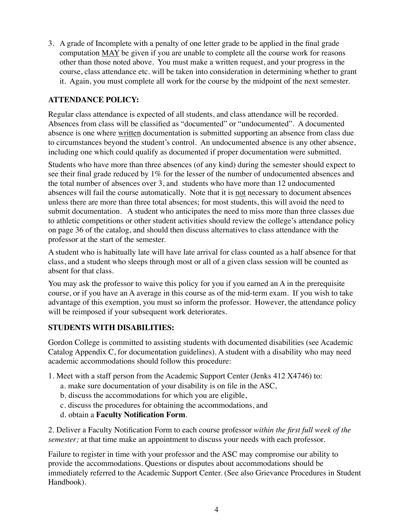3. A grade of Incomplete with a penalty of one letter grade to be applied in the final grade computation MAY be given if you are unable to complete all the course work for reasons other than those noted above. You must make a written request, and your progress in the course, class attendance etc. will be taken into consideration in determining whether to grant it. Again, you must complete all work for the course by the midpoint of the next semester.

# **ATTENDANCE POLICY:**

Regular class attendance is expected of all students, and class attendance will be recorded. Absences from class will be classified as "documented" or "undocumented". A documented absence is one where written documentation is submitted supporting an absence from class due to circumstances beyond the student's control. An undocumented absence is any other absence, including one which could qualify as documented if proper documentation were submitted.

Students who have more than three absences (of any kind) during the semester should expect to see their final grade reduced by 1% for the lesser of the number of undocumented absences and the total number of absences over 3, and students who have more than 12 undocumented absences will fail the course automatically. Note that it is not necessary to document absences unless there are more than three total absences; for most students, this will avoid the need to submit documentation. A student who anticipates the need to miss more than three classes due to athletic competitions or other student activities should review the college's attendance policy on page 36 of the catalog, and should then discuss alternatives to class attendance with the professor at the start of the semester.

A student who is habitually late will have late arrival for class counted as a half absence for that class, and a student who sleeps through most or all of a given class session will be counted as absent for that class.

You may ask the professor to waive this policy for you if you earned an A in the prerequisite course, or if you have an A average in this course as of the mid-term exam. If you wish to take advantage of this exemption, you must so inform the professor. However, the attendance policy will be reimposed if your subsequent work deteriorates.

## **STUDENTS WITH DISABILITIES:**

Gordon College is committed to assisting students with documented disabilities (see Academic Catalog Appendix C, for documentation guidelines). A student with a disability who may need academic accommodations should follow this procedure:

1. Meet with a staff person from the Academic Support Center (Jenks 412 X4746) to:

- a. make sure documentation of your disability is on file in the ASC,
- b. discuss the accommodations for which you are eligible,
- c. discuss the procedures for obtaining the accommodations, and
- d. obtain a **Faculty Notification Form**.

2. Deliver a Faculty Notification Form to each course professor *within the first full week of the semester;* at that time make an appointment to discuss your needs with each professor.

Failure to register in time with your professor and the ASC may compromise our ability to provide the accommodations. Questions or disputes about accommodations should be immediately referred to the Academic Support Center. (See also Grievance Procedures in Student Handbook).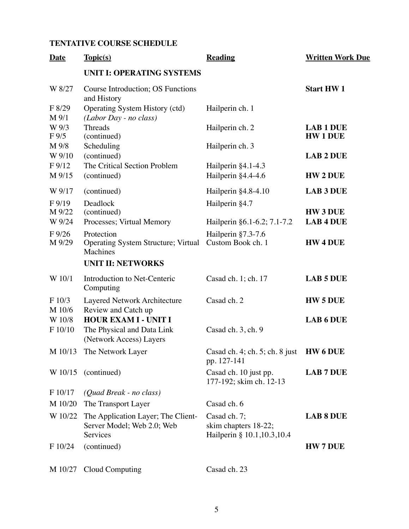# **TENTATIVE COURSE SCHEDULE**

| <b>Date</b>                 | Topic(s)                                                                             | <b>Reading</b>                                                       | <b>Written Work Due</b>           |
|-----------------------------|--------------------------------------------------------------------------------------|----------------------------------------------------------------------|-----------------------------------|
|                             | <b>UNIT I: OPERATING SYSTEMS</b>                                                     |                                                                      |                                   |
| W 8/27                      | Course Introduction; OS Functions<br>and History                                     |                                                                      | <b>Start HW1</b>                  |
| F 8/29<br>M 9/1             | Operating System History (ctd)<br>(Labor Day - no class)                             | Hailperin ch. 1                                                      |                                   |
| W 9/3<br>$F\,9/5$           | <b>Threads</b><br>(continued)                                                        | Hailperin ch. 2                                                      | <b>LAB 1 DUE</b><br><b>HW1DUE</b> |
| M 9/8<br>W 9/10             | Scheduling<br>(continued)                                                            | Hailperin ch. 3                                                      | <b>LAB 2 DUE</b>                  |
| F <sub>9/12</sub><br>M 9/15 | The Critical Section Problem<br>(continued)                                          | Hailperin §4.1-4.3<br>Hailperin §4.4-4.6                             | <b>HW 2 DUE</b>                   |
| W 9/17                      | (continued)                                                                          | Hailperin $§4.8-4.10$                                                | <b>LAB 3 DUE</b>                  |
| $F\,9/19$<br>M 9/22         | Deadlock<br>(continued)                                                              | Hailperin §4.7                                                       | <b>HW3 DUE</b>                    |
| W 9/24                      | Processes; Virtual Memory                                                            | Hailperin §6.1-6.2; 7.1-7.2                                          | <b>LAB 4 DUE</b>                  |
| $F\frac{9}{26}$<br>M 9/29   | Protection<br><b>Operating System Structure; Virtual</b><br>Machines                 | Hailperin §7.3-7.6<br>Custom Book ch. 1                              | <b>HW4DUE</b>                     |
|                             | <b>UNIT II: NETWORKS</b>                                                             |                                                                      |                                   |
| W 10/1                      | Introduction to Net-Centeric<br>Computing                                            | Casad ch. 1; ch. 17                                                  | <b>LAB 5 DUE</b>                  |
| F 10/3<br>M 10/6            | Layered Network Architecture<br>Review and Catch up                                  | Casad ch. 2                                                          | <b>HW 5 DUE</b>                   |
| W 10/8<br>F 10/10           | <b>HOUR EXAM I - UNIT I</b><br>The Physical and Data Link<br>(Network Access) Layers | Casad ch. 3, ch. 9                                                   | <b>LAB 6 DUE</b>                  |
|                             | M 10/13 The Network Layer                                                            | Casad ch. 4; ch. 5; ch. 8 just HW 6 DUE<br>pp. 127-141               |                                   |
|                             | $W 10/15$ (continued)                                                                | Casad ch. 10 just pp.<br>177-192; skim ch. 12-13                     | <b>LAB 7 DUE</b>                  |
| F 10/17                     | (Quad Break - no class)                                                              |                                                                      |                                   |
| M 10/20                     | The Transport Layer                                                                  | Casad ch. 6                                                          |                                   |
| W 10/22                     | The Application Layer; The Client-<br>Server Model; Web 2.0; Web<br>Services         | Casad ch. 7;<br>skim chapters 18-22;<br>Hailperin § 10.1, 10.3, 10.4 | <b>LAB 8 DUE</b>                  |
| F 10/24                     | (continued)                                                                          |                                                                      | <b>HW 7 DUE</b>                   |
| M 10/27                     | Cloud Computing                                                                      | Casad ch. 23                                                         |                                   |